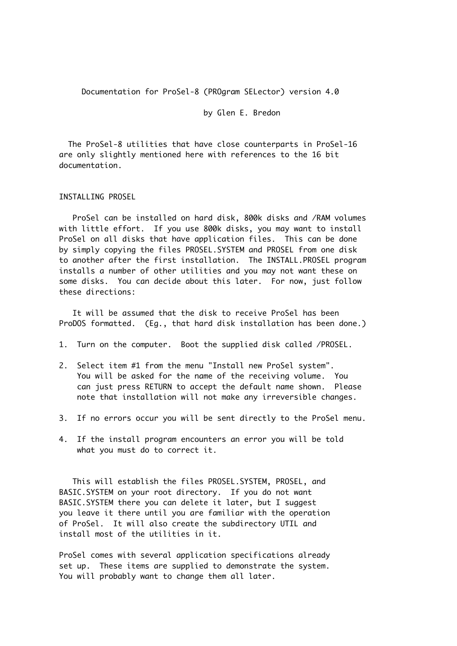Documentation for ProSel-8 (PROgram SELector) version 4.0

by Glen E. Bredon

 The ProSel-8 utilities that have close counterparts in ProSel-16 are only slightly mentioned here with references to the 16 bit documentation.

INSTALLING PROSEL

 ProSel can be installed on hard disk, 800k disks and /RAM volumes with little effort. If you use 800k disks, you may want to install ProSel on all disks that have application files. This can be done by simply copying the files PROSEL.SYSTEM and PROSEL from one disk to another after the first installation. The INSTALL.PROSEL program installs a number of other utilities and you may not want these on some disks. You can decide about this later. For now, just follow these directions:

 It will be assumed that the disk to receive ProSel has been ProDOS formatted. (Eg., that hard disk installation has been done.)

- 1. Turn on the computer. Boot the supplied disk called /PROSEL.
- 2. Select item #1 from the menu "Install new ProSel system". You will be asked for the name of the receiving volume. You can just press RETURN to accept the default name shown. Please note that installation will not make any irreversible changes.
- 3. If no errors occur you will be sent directly to the ProSel menu.
- 4. If the install program encounters an error you will be told what you must do to correct it.

 This will establish the files PROSEL.SYSTEM, PROSEL, and BASIC.SYSTEM on your root directory. If you do not want BASIC.SYSTEM there you can delete it later, but I suggest you leave it there until you are familiar with the operation of ProSel. It will also create the subdirectory UTIL and install most of the utilities in it.

ProSel comes with several application specifications already set up. These items are supplied to demonstrate the system. You will probably want to change them all later.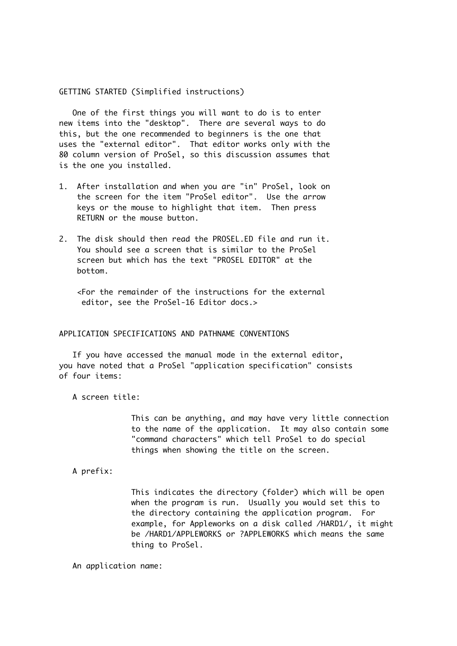GETTING STARTED (Simplified instructions)

 One of the first things you will want to do is to enter new items into the "desktop". There are several ways to do this, but the one recommended to beginners is the one that uses the "external editor". That editor works only with the 80 column version of ProSel, so this discussion assumes that is the one you installed.

- 1. After installation and when you are "in" ProSel, look on the screen for the item "ProSel editor". Use the arrow keys or the mouse to highlight that item. Then press RETURN or the mouse button.
- 2. The disk should then read the PROSEL.ED file and run it. You should see a screen that is similar to the ProSel screen but which has the text "PROSEL EDITOR" at the bottom.

 <For the remainder of the instructions for the external editor, see the ProSel-16 Editor docs.>

# APPLICATION SPECIFICATIONS AND PATHNAME CONVENTIONS

 If you have accessed the manual mode in the external editor, you have noted that a ProSel "application specification" consists of four items:

A screen title:

This can be anything, and may have very little connection to the name of the application. It may also contain some "command characters" which tell ProSel to do special things when showing the title on the screen.

A prefix:

This indicates the directory (folder) which will be open when the program is run. Usually you would set this to the directory containing the application program. For example, for Appleworks on a disk called /HARD1/, it might be /HARD1/APPLEWORKS or ?APPLEWORKS which means the same thing to ProSel.

An application name: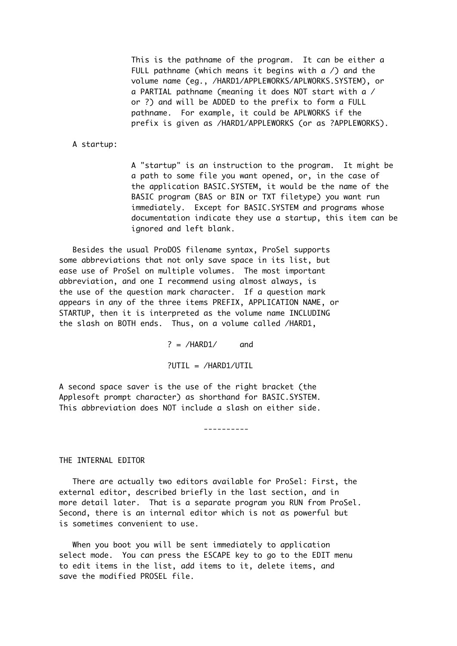This is the pathname of the program. It can be either a FULL pathname (which means it begins with  $a /$ ) and the volume name (eg., /HARD1/APPLEWORKS/APLWORKS.SYSTEM), or a PARTIAL pathname (meaning it does NOT start with a / or ?) and will be ADDED to the prefix to form a FULL pathname. For example, it could be APLWORKS if the prefix is given as /HARD1/APPLEWORKS (or as ?APPLEWORKS).

# A startup:

A "startup" is an instruction to the program. It might be a path to some file you want opened, or, in the case of the application BASIC.SYSTEM, it would be the name of the BASIC program (BAS or BIN or TXT filetype) you want run immediately. Except for BASIC.SYSTEM and programs whose documentation indicate they use a startup, this item can be ignored and left blank.

 Besides the usual ProDOS filename syntax, ProSel supports some abbreviations that not only save space in its list, but ease use of ProSel on multiple volumes. The most important abbreviation, and one I recommend using almost always, is the use of the question mark character. If a question mark appears in any of the three items PREFIX, APPLICATION NAME, or STARTUP, then it is interpreted as the volume name INCLUDING the slash on BOTH ends. Thus, on a volume called /HARD1,

 $? = /HARD1/$  and

?UTIL = /HARD1/UTIL

A second space saver is the use of the right bracket (the Applesoft prompt character) as shorthand for BASIC.SYSTEM. This abbreviation does NOT include a slash on either side.

----------

# THE INTERNAL EDITOR

 There are actually two editors available for ProSel: First, the external editor, described briefly in the last section, and in more detail later. That is a separate program you RUN from ProSel. Second, there is an internal editor which is not as powerful but is sometimes convenient to use.

 When you boot you will be sent immediately to application select mode. You can press the ESCAPE key to go to the EDIT menu to edit items in the list, add items to it, delete items, and save the modified PROSEL file.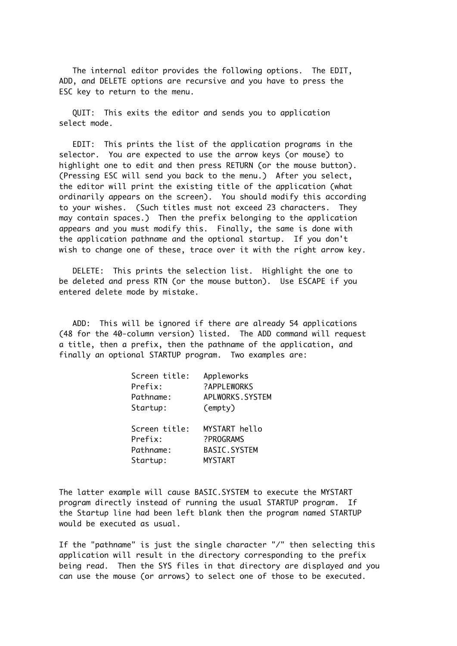The internal editor provides the following options. The EDIT, ADD, and DELETE options are recursive and you have to press the ESC key to return to the menu.

 QUIT: This exits the editor and sends you to application select mode.

 EDIT: This prints the list of the application programs in the selector. You are expected to use the arrow keys (or mouse) to highlight one to edit and then press RETURN (or the mouse button). (Pressing ESC will send you back to the menu.) After you select, the editor will print the existing title of the application (what ordinarily appears on the screen). You should modify this according to your wishes. (Such titles must not exceed 23 characters. They may contain spaces.) Then the prefix belonging to the application appears and you must modify this. Finally, the same is done with the application pathname and the optional startup. If you don't wish to change one of these, trace over it with the right arrow key.

 DELETE: This prints the selection list. Highlight the one to be deleted and press RTN (or the mouse button). Use ESCAPE if you entered delete mode by mistake.

 ADD: This will be ignored if there are already 54 applications (48 for the 40-column version) listed. The ADD command will request a title, then a prefix, then the pathname of the application, and finally an optional STARTUP program. Two examples are:

| Screen title: | Appleworks          |
|---------------|---------------------|
| Prefix:       | ?APPLEWORKS         |
| Pathname:     | APLWORKS.SYSTEM     |
| Startup:      | (empty)             |
|               |                     |
| Screen title: | MYSTART hello       |
| Prefix:       | ?PROGRAMS           |
| Pathname:     | <b>BASIC.SYSTEM</b> |
| Startup:      | <b>MYSTART</b>      |

The latter example will cause BASIC.SYSTEM to execute the MYSTART program directly instead of running the usual STARTUP program. If the Startup line had been left blank then the program named STARTUP would be executed as usual.

If the "pathname" is just the single character "/" then selecting this application will result in the directory corresponding to the prefix being read. Then the SYS files in that directory are displayed and you can use the mouse (or arrows) to select one of those to be executed.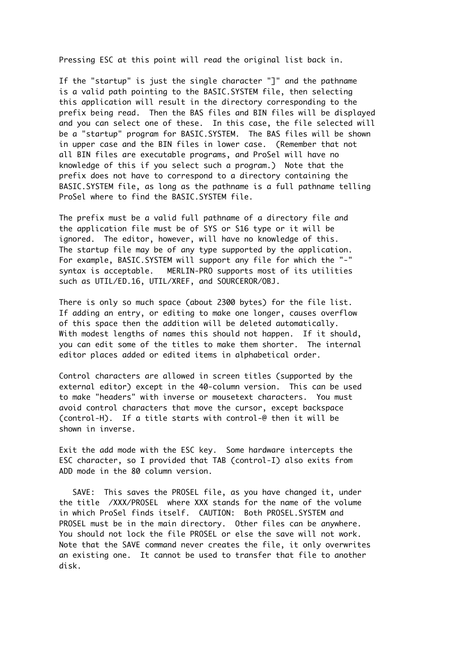Pressing ESC at this point will read the original list back in.

If the "startup" is just the single character "]" and the pathname is a valid path pointing to the BASIC.SYSTEM file, then selecting this application will result in the directory corresponding to the prefix being read. Then the BAS files and BIN files will be displayed and you can select one of these. In this case, the file selected will be a "startup" program for BASIC.SYSTEM. The BAS files will be shown in upper case and the BIN files in lower case. (Remember that not all BIN files are executable programs, and ProSel will have no knowledge of this if you select such a program.) Note that the prefix does not have to correspond to a directory containing the BASIC.SYSTEM file, as long as the pathname is a full pathname telling ProSel where to find the BASIC.SYSTEM file.

The prefix must be a valid full pathname of a directory file and the application file must be of SYS or S16 type or it will be ignored. The editor, however, will have no knowledge of this. The startup file may be of any type supported by the application. For example, BASIC.SYSTEM will support any file for which the "-" syntax is acceptable. MERLIN-PRO supports most of its utilities such as UTIL/ED.16, UTIL/XREF, and SOURCEROR/OBJ.

There is only so much space (about 2300 bytes) for the file list. If adding an entry, or editing to make one longer, causes overflow of this space then the addition will be deleted automatically. With modest lengths of names this should not happen. If it should, you can edit some of the titles to make them shorter. The internal editor places added or edited items in alphabetical order.

Control characters are allowed in screen titles (supported by the external editor) except in the 40-column version. This can be used to make "headers" with inverse or mousetext characters. You must avoid control characters that move the cursor, except backspace (control-H). If a title starts with control-@ then it will be shown in inverse.

Exit the add mode with the ESC key. Some hardware intercepts the ESC character, so I provided that TAB (control-I) also exits from ADD mode in the 80 column version.

 SAVE: This saves the PROSEL file, as you have changed it, under the title /XXX/PROSEL where XXX stands for the name of the volume in which ProSel finds itself. CAUTION: Both PROSEL.SYSTEM and PROSEL must be in the main directory. Other files can be anywhere. You should not lock the file PROSEL or else the save will not work. Note that the SAVE command never creates the file, it only overwrites an existing one. It cannot be used to transfer that file to another disk.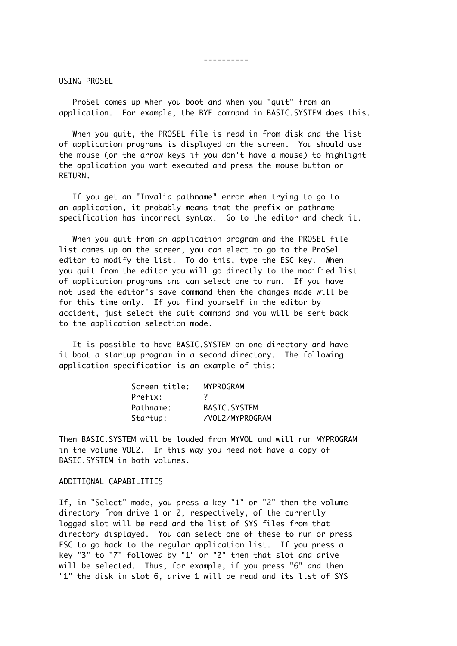----------

USING PROSEL

 ProSel comes up when you boot and when you "quit" from an application. For example, the BYE command in BASIC.SYSTEM does this.

 When you quit, the PROSEL file is read in from disk and the list of application programs is displayed on the screen. You should use the mouse (or the arrow keys if you don't have a mouse) to highlight the application you want executed and press the mouse button or RETURN.

 If you get an "Invalid pathname" error when trying to go to an application, it probably means that the prefix or pathname specification has incorrect syntax. Go to the editor and check it.

 When you quit from an application program and the PROSEL file list comes up on the screen, you can elect to go to the ProSel editor to modify the list. To do this, type the ESC key. When you quit from the editor you will go directly to the modified list of application programs and can select one to run. If you have not used the editor's save command then the changes made will be for this time only. If you find yourself in the editor by accident, just select the quit command and you will be sent back to the application selection mode.

 It is possible to have BASIC.SYSTEM on one directory and have it boot a startup program in a second directory. The following application specification is an example of this:

| Screen title: | <b>MYPROGRAM</b>    |
|---------------|---------------------|
| Prefix:       | 7                   |
| Pathname:     | <b>BASIC.SYSTEM</b> |
| Startup:      | /VOL 2/MYPROGRAM    |

Then BASIC.SYSTEM will be loaded from MYVOL and will run MYPROGRAM in the volume VOL2. In this way you need not have a copy of BASIC.SYSTEM in both volumes.

# ADDITIONAL CAPABILITIES

If, in "Select" mode, you press a key "1" or "2" then the volume directory from drive 1 or 2, respectively, of the currently logged slot will be read and the list of SYS files from that directory displayed. You can select one of these to run or press ESC to go back to the regular application list. If you press a key "3" to "7" followed by "1" or "2" then that slot and drive will be selected. Thus, for example, if you press "6" and then "1" the disk in slot 6, drive 1 will be read and its list of SYS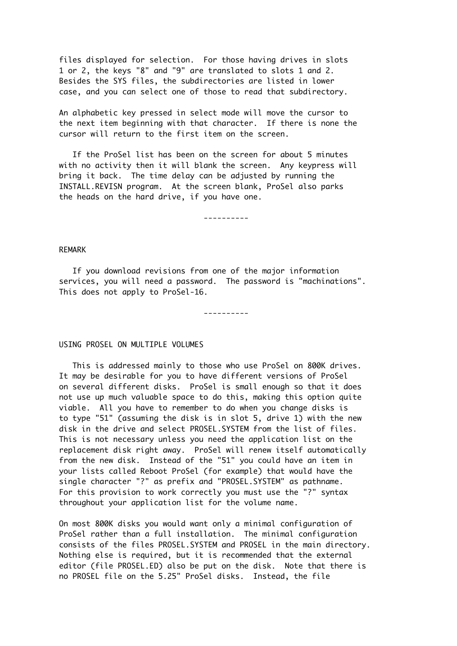files displayed for selection. For those having drives in slots 1 or 2, the keys "8" and "9" are translated to slots 1 and 2. Besides the SYS files, the subdirectories are listed in lower case, and you can select one of those to read that subdirectory.

An alphabetic key pressed in select mode will move the cursor to the next item beginning with that character. If there is none the cursor will return to the first item on the screen.

 If the ProSel list has been on the screen for about 5 minutes with no activity then it will blank the screen. Any keypress will bring it back. The time delay can be adjusted by running the INSTALL.REVISN program. At the screen blank, ProSel also parks the heads on the hard drive, if you have one.

----------

#### REMARK

 If you download revisions from one of the major information services, you will need a password. The password is "machinations". This does not apply to ProSel-16.

----------

### USING PROSEL ON MULTIPLE VOLUMES

 This is addressed mainly to those who use ProSel on 800K drives. It may be desirable for you to have different versions of ProSel on several different disks. ProSel is small enough so that it does not use up much valuable space to do this, making this option quite viable. All you have to remember to do when you change disks is to type "51" (assuming the disk is in slot 5, drive 1) with the new disk in the drive and select PROSEL.SYSTEM from the list of files. This is not necessary unless you need the application list on the replacement disk right away. ProSel will renew itself automatically from the new disk. Instead of the "51" you could have an item in your lists called Reboot ProSel (for example) that would have the single character "?" as prefix and "PROSEL.SYSTEM" as pathname. For this provision to work correctly you must use the "?" syntax throughout your application list for the volume name.

On most 800K disks you would want only a minimal configuration of ProSel rather than a full installation. The minimal configuration consists of the files PROSEL.SYSTEM and PROSEL in the main directory. Nothing else is required, but it is recommended that the external editor (file PROSEL.ED) also be put on the disk. Note that there is no PROSEL file on the 5.25" ProSel disks. Instead, the file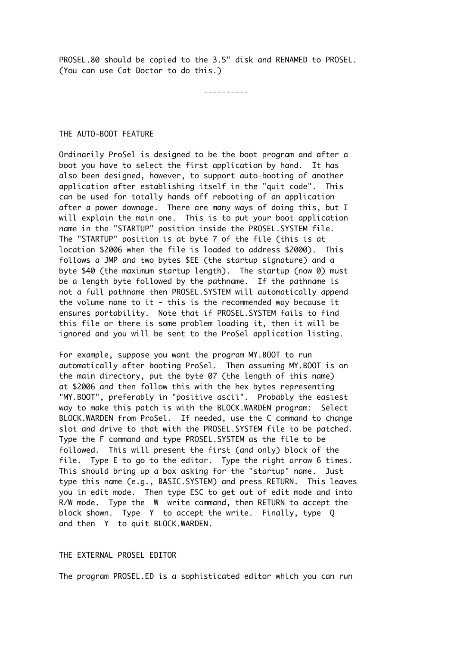PROSEL.80 should be copied to the 3.5" disk and RENAMED to PROSEL. (You can use Cat Doctor to do this.)

----------

#### THE AUTO-BOOT FEATURE

Ordinarily ProSel is designed to be the boot program and after a boot you have to select the first application by hand. It has also been designed, however, to support auto-booting of another application after establishing itself in the "quit code". This can be used for totally hands off rebooting of an application after a power downage. There are many ways of doing this, but I will explain the main one. This is to put your boot application name in the "STARTUP" position inside the PROSEL.SYSTEM file. The "STARTUP" position is at byte 7 of the file (this is at location \$2006 when the file is loaded to address \$2000). This follows a JMP and two bytes \$EE (the startup signature) and a byte \$40 (the maximum startup length). The startup (now 0) must be a length byte followed by the pathname. If the pathname is not a full pathname then PROSEL.SYSTEM will automatically append the volume name to it - this is the recommended way because it ensures portability. Note that if PROSEL.SYSTEM fails to find this file or there is some problem loading it, then it will be ignored and you will be sent to the ProSel application listing.

For example, suppose you want the program MY.BOOT to run automatically after booting ProSel. Then assuming MY.BOOT is on the main directory, put the byte 07 (the length of this name) at \$2006 and then follow this with the hex bytes representing "MY.BOOT", preferably in "positive ascii". Probably the easiest way to make this patch is with the BLOCK.WARDEN program: Select BLOCK.WARDEN from ProSel. If needed, use the C command to change slot and drive to that with the PROSEL.SYSTEM file to be patched. Type the F command and type PROSEL.SYSTEM as the file to be followed. This will present the first (and only) block of the file. Type E to go to the editor. Type the right arrow 6 times. This should bring up a box asking for the "startup" name. Just type this name (e.g., BASIC.SYSTEM) and press RETURN. This leaves you in edit mode. Then type ESC to get out of edit mode and into R/W mode. Type the W write command, then RETURN to accept the block shown. Type Y to accept the write. Finally, type Q and then Y to quit BLOCK.WARDEN.

# THE EXTERNAL PROSEL EDITOR

The program PROSEL.ED is a sophisticated editor which you can run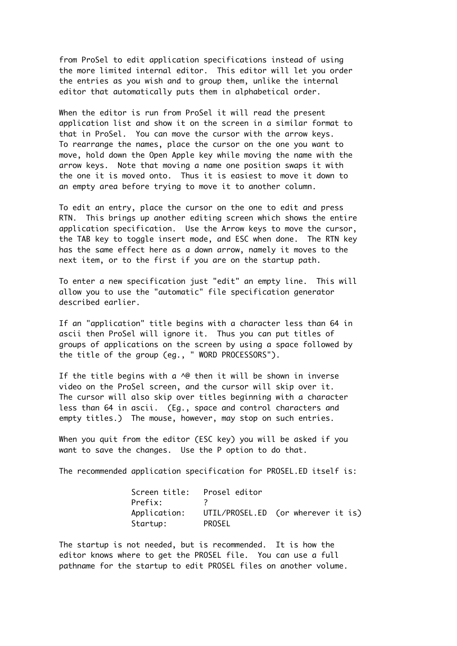from ProSel to edit application specifications instead of using the more limited internal editor. This editor will let you order the entries as you wish and to group them, unlike the internal editor that automatically puts them in alphabetical order.

When the editor is run from ProSel it will read the present application list and show it on the screen in a similar format to that in ProSel. You can move the cursor with the arrow keys. To rearrange the names, place the cursor on the one you want to move, hold down the Open Apple key while moving the name with the arrow keys. Note that moving a name one position swaps it with the one it is moved onto. Thus it is easiest to move it down to an empty area before trying to move it to another column.

To edit an entry, place the cursor on the one to edit and press RTN. This brings up another editing screen which shows the entire application specification. Use the Arrow keys to move the cursor, the TAB key to toggle insert mode, and ESC when done. The RTN key has the same effect here as a down arrow, namely it moves to the next item, or to the first if you are on the startup path.

To enter a new specification just "edit" an empty line. This will allow you to use the "automatic" file specification generator described earlier.

If an "application" title begins with a character less than 64 in ascii then ProSel will ignore it. Thus you can put titles of groups of applications on the screen by using a space followed by the title of the group (eg., " WORD PROCESSORS").

If the title begins with a  $\Diamond \phi$  then it will be shown in inverse video on the ProSel screen, and the cursor will skip over it. The cursor will also skip over titles beginning with a character less than 64 in ascii. (Eg., space and control characters and empty titles.) The mouse, however, may stop on such entries.

When you quit from the editor (ESC key) you will be asked if you want to save the changes. Use the P option to do that.

The recommended application specification for PROSEL.ED itself is:

|          | Screen title: Prosel editor |                                                 |
|----------|-----------------------------|-------------------------------------------------|
| Prefix:  |                             |                                                 |
|          |                             | Application: UTIL/PROSEL.ED (or wherever it is) |
| Startup: | PROSEL                      |                                                 |

The startup is not needed, but is recommended. It is how the editor knows where to get the PROSEL file. You can use a full pathname for the startup to edit PROSEL files on another volume.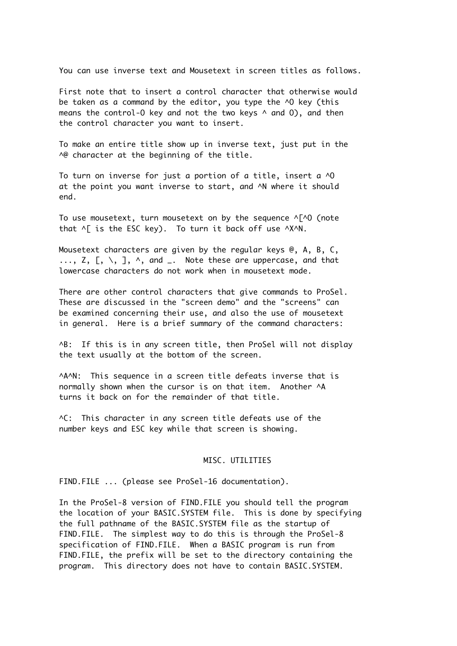You can use inverse text and Mousetext in screen titles as follows.

First note that to insert a control character that otherwise would be taken as a command by the editor, you type the ^0 key (this means the control-0 key and not the two keys  $\land$  and 0), and then the control character you want to insert.

To make an entire title show up in inverse text, just put in the A@ character at the beginning of the title.

To turn on inverse for just a portion of a title, insert a ^O at the point you want inverse to start, and ^N where it should end.

To use mousetext, turn mousetext on by the sequence  $\wedge$  [ $\wedge$ O (note that  $\wedge$  is the ESC key). To turn it back off use  $\wedge$ X $\wedge$ N.

Mousetext characters are given by the regular keys @, A, B, C,  $\ldots$ , Z, [, \, ],  $\wedge$ , and  $\ldots$  Note these are uppercase, and that lowercase characters do not work when in mousetext mode.

There are other control characters that give commands to ProSel. These are discussed in the "screen demo" and the "screens" can be examined concerning their use, and also the use of mousetext in general. Here is a brief summary of the command characters:

^B: If this is in any screen title, then ProSel will not display the text usually at the bottom of the screen.

^A^N: This sequence in a screen title defeats inverse that is normally shown when the cursor is on that item. Another ^A turns it back on for the remainder of that title.

^C: This character in any screen title defeats use of the number keys and ESC key while that screen is showing.

# MISC. UTILITIES

FIND.FILE ... (please see ProSel-16 documentation).

In the ProSel-8 version of FIND.FILE you should tell the program the location of your BASIC.SYSTEM file. This is done by specifying the full pathname of the BASIC.SYSTEM file as the startup of FIND.FILE. The simplest way to do this is through the ProSel-8 specification of FIND.FILE. When a BASIC program is run from FIND.FILE, the prefix will be set to the directory containing the program. This directory does not have to contain BASIC.SYSTEM.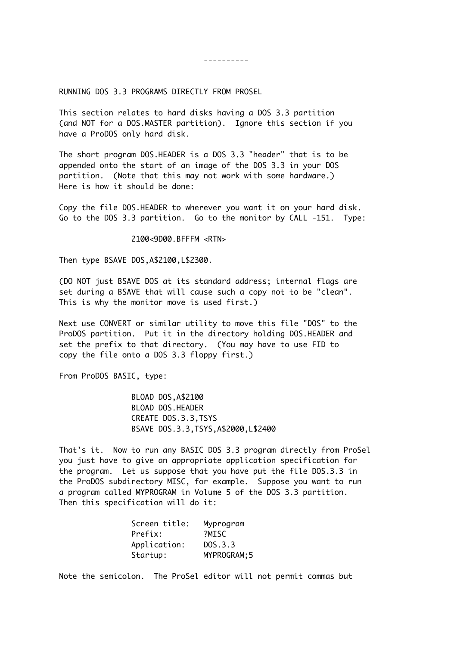----------

RUNNING DOS 3.3 PROGRAMS DIRECTLY FROM PROSEL

This section relates to hard disks having a DOS 3.3 partition (and NOT for a DOS.MASTER partition). Ignore this section if you have a ProDOS only hard disk.

The short program DOS.HEADER is a DOS 3.3 "header" that is to be appended onto the start of an image of the DOS 3.3 in your DOS partition. (Note that this may not work with some hardware.) Here is how it should be done:

Copy the file DOS.HEADER to wherever you want it on your hard disk. Go to the DOS 3.3 partition. Go to the monitor by CALL -151. Type:

2100<9D00.BFFFM <RTN>

Then type BSAVE DOS,A\$2100,L\$2300.

(DO NOT just BSAVE DOS at its standard address; internal flags are set during a BSAVE that will cause such a copy not to be "clean". This is why the monitor move is used first.)

Next use CONVERT or similar utility to move this file "DOS" to the ProDOS partition. Put it in the directory holding DOS.HEADER and set the prefix to that directory. (You may have to use FID to copy the file onto a DOS 3.3 floppy first.)

From ProDOS BASIC, type:

BLOAD DOS,A\$2100 BLOAD DOS.HEADER CREATE DOS.3.3,TSYS BSAVE DOS.3.3,TSYS,A\$2000,L\$2400

That's it. Now to run any BASIC DOS 3.3 program directly from ProSel you just have to give an appropriate application specification for the program. Let us suppose that you have put the file DOS.3.3 in the ProDOS subdirectory MISC, for example. Suppose you want to run a program called MYPROGRAM in Volume 5 of the DOS 3.3 partition. Then this specification will do it:

| Screen title: | Myprogram    |
|---------------|--------------|
| Prefix:       | <b>PMISC</b> |
| Application:  | DOS.3.3      |
| Startup:      | MYPROGRAM; 5 |

Note the semicolon. The ProSel editor will not permit commas but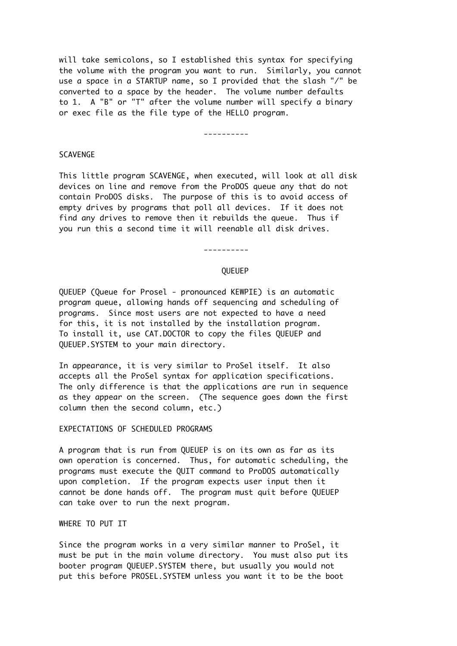will take semicolons, so I established this syntax for specifying the volume with the program you want to run. Similarly, you cannot use a space in a STARTUP name, so I provided that the slash "/" be converted to a space by the header. The volume number defaults to 1. A "B" or "T" after the volume number will specify a binary or exec file as the file type of the HELLO program.

# ----------

# SCAVENGE

This little program SCAVENGE, when executed, will look at all disk devices on line and remove from the ProDOS queue any that do not contain ProDOS disks. The purpose of this is to avoid access of empty drives by programs that poll all devices. If it does not find any drives to remove then it rebuilds the queue. Thus if you run this a second time it will reenable all disk drives.

# ----------

#### QUEUEP

QUEUEP (Queue for Prosel - pronounced KEWPIE) is an automatic program queue, allowing hands off sequencing and scheduling of programs. Since most users are not expected to have a need for this, it is not installed by the installation program. To install it, use CAT.DOCTOR to copy the files QUEUEP and QUEUEP.SYSTEM to your main directory.

In appearance, it is very similar to ProSel itself. It also accepts all the ProSel syntax for application specifications. The only difference is that the applications are run in sequence as they appear on the screen. (The sequence goes down the first column then the second column, etc.)

EXPECTATIONS OF SCHEDULED PROGRAMS

A program that is run from QUEUEP is on its own as far as its own operation is concerned. Thus, for automatic scheduling, the programs must execute the QUIT command to ProDOS automatically upon completion. If the program expects user input then it cannot be done hands off. The program must quit before QUEUEP can take over to run the next program.

### WHERE TO PUT IT

Since the program works in a very similar manner to ProSel, it must be put in the main volume directory. You must also put its booter program QUEUEP.SYSTEM there, but usually you would not put this before PROSEL.SYSTEM unless you want it to be the boot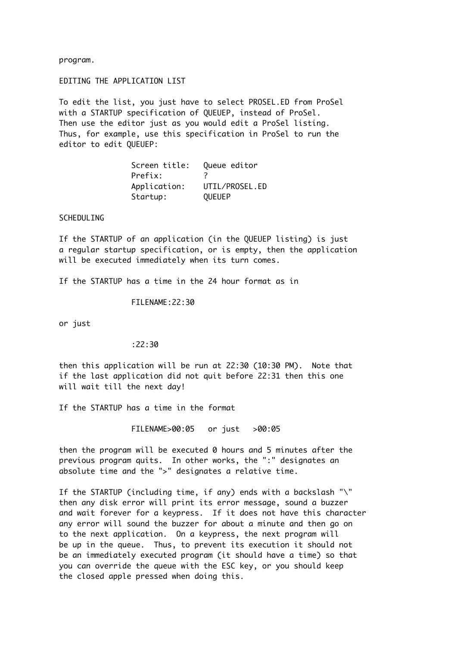program.

EDITING THE APPLICATION LIST

To edit the list, you just have to select PROSEL.ED from ProSel with a STARTUP specification of QUEUEP, instead of ProSel. Then use the editor just as you would edit a ProSel listing. Thus, for example, use this specification in ProSel to run the editor to edit QUEUEP:

> Screen title: Queue editor Prefix: ? Application: UTIL/PROSEL.ED Startup: QUEUEP

**SCHEDULING** 

If the STARTUP of an application (in the QUEUEP listing) is just a regular startup specification, or is empty, then the application will be executed immediately when its turn comes.

If the STARTUP has a time in the 24 hour format as in

FILENAME:22:30

or just

:22:30

then this application will be run at 22:30 (10:30 PM). Note that if the last application did not quit before 22:31 then this one will wait till the next day!

If the STARTUP has a time in the format

FILENAME>00:05 or just >00:05

then the program will be executed 0 hours and 5 minutes after the previous program quits. In other works, the ":" designates an absolute time and the ">" designates a relative time.

If the STARTUP (including time, if any) ends with a backslash "\" then any disk error will print its error message, sound a buzzer and wait forever for a keypress. If it does not have this character any error will sound the buzzer for about a minute and then go on to the next application. On a keypress, the next program will be up in the queue. Thus, to prevent its execution it should not be an immediately executed program (it should have a time) so that you can override the queue with the ESC key, or you should keep the closed apple pressed when doing this.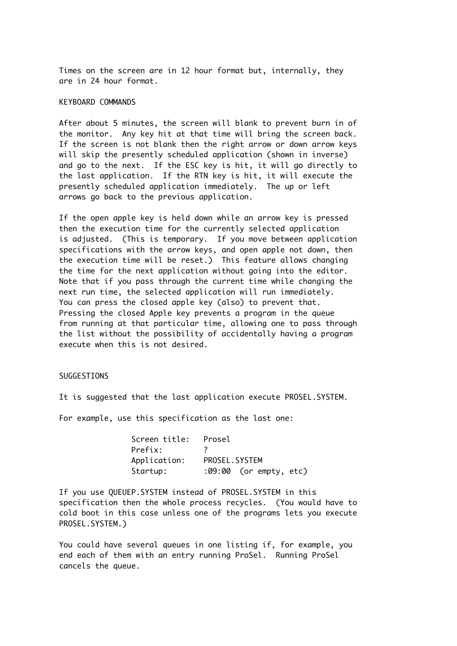Times on the screen are in 12 hour format but, internally, they are in 24 hour format.

# KEYBOARD COMMANDS

After about 5 minutes, the screen will blank to prevent burn in of the monitor. Any key hit at that time will bring the screen back. If the screen is not blank then the right arrow or down arrow keys will skip the presently scheduled application (shown in inverse) and go to the next. If the ESC key is hit, it will go directly to the last application. If the RTN key is hit, it will execute the presently scheduled application immediately. The up or left arrows go back to the previous application.

If the open apple key is held down while an arrow key is pressed then the execution time for the currently selected application is adjusted. (This is temporary. If you move between application specifications with the arrow keys, and open apple not down, then the execution time will be reset.) This feature allows changing the time for the next application without going into the editor. Note that if you pass through the current time while changing the next run time, the selected application will run immediately. You can press the closed apple key (also) to prevent that. Pressing the closed Apple key prevents a program in the queue from running at that particular time, allowing one to pass through the list without the possibility of accidentally having a program execute when this is not desired.

# SUGGESTIONS

It is suggested that the last application execute PROSEL.SYSTEM.

For example, use this specification as the last one:

| Screen title: | Prosel                 |
|---------------|------------------------|
| Prefix:       |                        |
| Application:  | PROSEL.SYSTEM          |
| Startup:      | :09:00 (or empty, etc) |

If you use QUEUEP.SYSTEM instead of PROSEL.SYSTEM in this specification then the whole process recycles. (You would have to cold boot in this case unless one of the programs lets you execute PROSEL.SYSTEM.)

You could have several queues in one listing if, for example, you end each of them with an entry running ProSel. Running ProSel cancels the queue.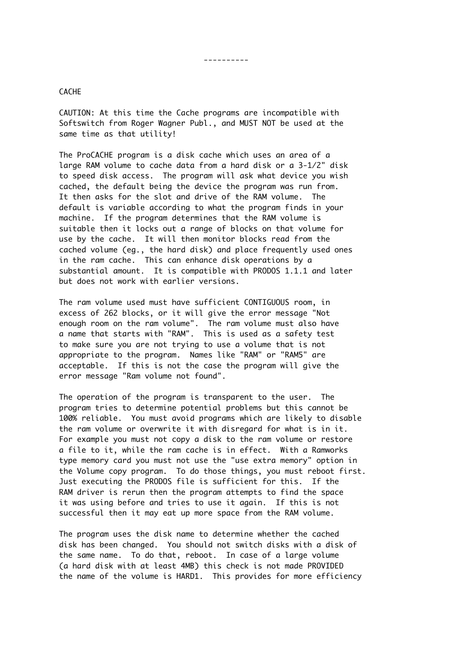----------

# **CACHE**

CAUTION: At this time the Cache programs are incompatible with Softswitch from Roger Wagner Publ., and MUST NOT be used at the same time as that utility!

The ProCACHE program is a disk cache which uses an area of a large RAM volume to cache data from a hard disk or a 3-1/2" disk to speed disk access. The program will ask what device you wish cached, the default being the device the program was run from. It then asks for the slot and drive of the RAM volume. The default is variable according to what the program finds in your machine. If the program determines that the RAM volume is suitable then it locks out a range of blocks on that volume for use by the cache. It will then monitor blocks read from the cached volume (eg., the hard disk) and place frequently used ones in the ram cache. This can enhance disk operations by a substantial amount. It is compatible with PRODOS 1.1.1 and later but does not work with earlier versions.

The ram volume used must have sufficient CONTIGUOUS room, in excess of 262 blocks, or it will give the error message "Not enough room on the ram volume". The ram volume must also have a name that starts with "RAM". This is used as a safety test to make sure you are not trying to use a volume that is not appropriate to the program. Names like "RAM" or "RAM5" are acceptable. If this is not the case the program will give the error message "Ram volume not found".

The operation of the program is transparent to the user. The program tries to determine potential problems but this cannot be 100% reliable. You must avoid programs which are likely to disable the ram volume or overwrite it with disregard for what is in it. For example you must not copy a disk to the ram volume or restore a file to it, while the ram cache is in effect. With a Ramworks type memory card you must not use the "use extra memory" option in the Volume copy program. To do those things, you must reboot first. Just executing the PRODOS file is sufficient for this. If the RAM driver is rerun then the program attempts to find the space it was using before and tries to use it again. If this is not successful then it may eat up more space from the RAM volume.

The program uses the disk name to determine whether the cached disk has been changed. You should not switch disks with a disk of the same name. To do that, reboot. In case of a large volume (a hard disk with at least 4MB) this check is not made PROVIDED the name of the volume is HARD1. This provides for more efficiency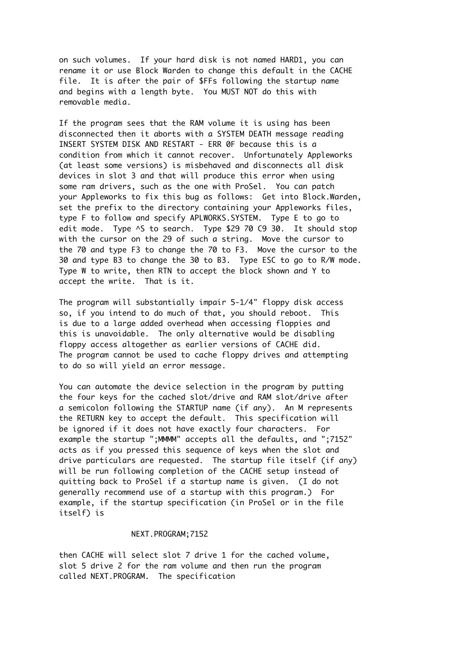on such volumes. If your hard disk is not named HARD1, you can rename it or use Block Warden to change this default in the CACHE file. It is after the pair of \$FFs following the startup name and begins with a length byte. You MUST NOT do this with removable media.

If the program sees that the RAM volume it is using has been disconnected then it aborts with a SYSTEM DEATH message reading INSERT SYSTEM DISK AND RESTART - ERR 0F because this is a condition from which it cannot recover. Unfortunately Appleworks (at least some versions) is misbehaved and disconnects all disk devices in slot 3 and that will produce this error when using some ram drivers, such as the one with ProSel. You can patch your Appleworks to fix this bug as follows: Get into Block.Warden, set the prefix to the directory containing your Appleworks files, type F to follow and specify APLWORKS.SYSTEM. Type E to go to edit mode. Type ^S to search. Type \$29 70 C9 30. It should stop with the cursor on the 29 of such a string. Move the cursor to the 70 and type F3 to change the 70 to F3. Move the cursor to the 30 and type B3 to change the 30 to B3. Type ESC to go to R/W mode. Type W to write, then RTN to accept the block shown and Y to accept the write. That is it.

The program will substantially impair 5-1/4" floppy disk access so, if you intend to do much of that, you should reboot. This is due to a large added overhead when accessing floppies and this is unavoidable. The only alternative would be disabling floppy access altogether as earlier versions of CACHE did. The program cannot be used to cache floppy drives and attempting to do so will yield an error message.

You can automate the device selection in the program by putting the four keys for the cached slot/drive and RAM slot/drive after a semicolon following the STARTUP name (if any). An M represents the RETURN key to accept the default. This specification will be ignored if it does not have exactly four characters. For example the startup ";MMMM" accepts all the defaults, and ";7152" acts as if you pressed this sequence of keys when the slot and drive particulars are requested. The startup file itself (if any) will be run following completion of the CACHE setup instead of quitting back to ProSel if a startup name is given. (I do not generally recommend use of a startup with this program.) For example, if the startup specification (in ProSel or in the file itself) is

# NEXT.PROGRAM;7152

then CACHE will select slot 7 drive 1 for the cached volume, slot 5 drive 2 for the ram volume and then run the program called NEXT.PROGRAM. The specification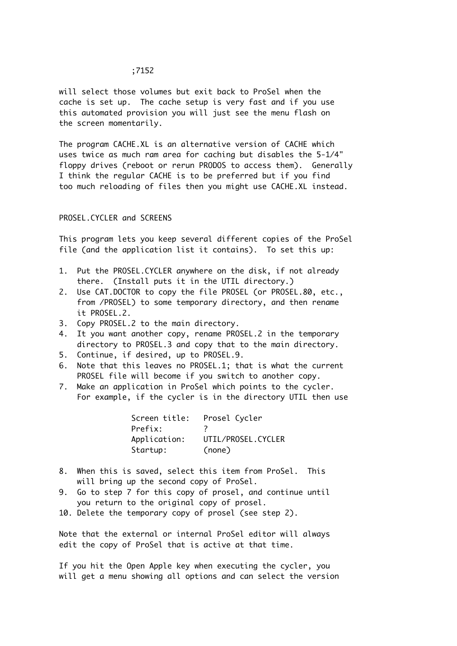will select those volumes but exit back to ProSel when the cache is set up. The cache setup is very fast and if you use this automated provision you will just see the menu flash on the screen momentarily.

The program CACHE.XL is an alternative version of CACHE which uses twice as much ram area for caching but disables the 5-1/4" floppy drives (reboot or rerun PRODOS to access them). Generally I think the regular CACHE is to be preferred but if you find too much reloading of files then you might use CACHE.XL instead.

PROSEL.CYCLER and SCREENS

This program lets you keep several different copies of the ProSel file (and the application list it contains). To set this up:

- 1. Put the PROSEL.CYCLER anywhere on the disk, if not already there. (Install puts it in the UTIL directory.)
- 2. Use CAT.DOCTOR to copy the file PROSEL (or PROSEL.80, etc., from /PROSEL) to some temporary directory, and then rename it PROSEL.2.
- 3. Copy PROSEL.2 to the main directory.
- 4. It you want another copy, rename PROSEL.2 in the temporary directory to PROSEL.3 and copy that to the main directory.
- 5. Continue, if desired, up to PROSEL.9.
- 6. Note that this leaves no PROSEL.1; that is what the current PROSEL file will become if you switch to another copy.
- 7. Make an application in ProSel which points to the cycler. For example, if the cycler is in the directory UTIL then use

| Screen title: | Prosel Cycler      |
|---------------|--------------------|
| Prefix:       |                    |
| Application:  | UTIL/PROSEL.CYCLER |
| Startup:      | (none)             |

- 8. When this is saved, select this item from ProSel. This will bring up the second copy of ProSel.
- 9. Go to step 7 for this copy of prosel, and continue until you return to the original copy of prosel.
- 10. Delete the temporary copy of prosel (see step 2).

Note that the external or internal ProSel editor will always edit the copy of ProSel that is active at that time.

If you hit the Open Apple key when executing the cycler, you will get a menu showing all options and can select the version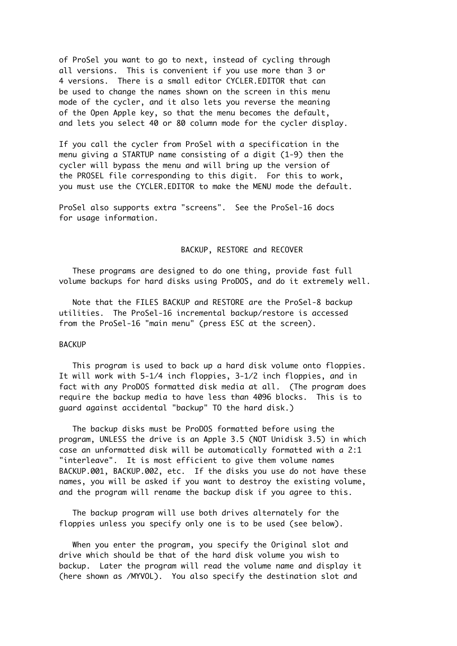of ProSel you want to go to next, instead of cycling through all versions. This is convenient if you use more than 3 or 4 versions. There is a small editor CYCLER.EDITOR that can be used to change the names shown on the screen in this menu mode of the cycler, and it also lets you reverse the meaning of the Open Apple key, so that the menu becomes the default, and lets you select 40 or 80 column mode for the cycler display.

If you call the cycler from ProSel with a specification in the menu giving a STARTUP name consisting of a digit (1-9) then the cycler will bypass the menu and will bring up the version of the PROSEL file corresponding to this digit. For this to work, you must use the CYCLER.EDITOR to make the MENU mode the default.

ProSel also supports extra "screens". See the ProSel-16 docs for usage information.

### BACKUP, RESTORE and RECOVER

 These programs are designed to do one thing, provide fast full volume backups for hard disks using ProDOS, and do it extremely well.

 Note that the FILES BACKUP and RESTORE are the ProSel-8 backup utilities. The ProSel-16 incremental backup/restore is accessed from the ProSel-16 "main menu" (press ESC at the screen).

#### BACKUP

 This program is used to back up a hard disk volume onto floppies. It will work with 5-1/4 inch floppies, 3-1/2 inch floppies, and in fact with any ProDOS formatted disk media at all. (The program does require the backup media to have less than 4096 blocks. This is to guard against accidental "backup" TO the hard disk.)

 The backup disks must be ProDOS formatted before using the program, UNLESS the drive is an Apple 3.5 (NOT Unidisk 3.5) in which case an unformatted disk will be automatically formatted with a 2:1 "interleave". It is most efficient to give them volume names BACKUP.001, BACKUP.002, etc. If the disks you use do not have these names, you will be asked if you want to destroy the existing volume, and the program will rename the backup disk if you agree to this.

 The backup program will use both drives alternately for the floppies unless you specify only one is to be used (see below).

 When you enter the program, you specify the Original slot and drive which should be that of the hard disk volume you wish to backup. Later the program will read the volume name and display it (here shown as /MYVOL). You also specify the destination slot and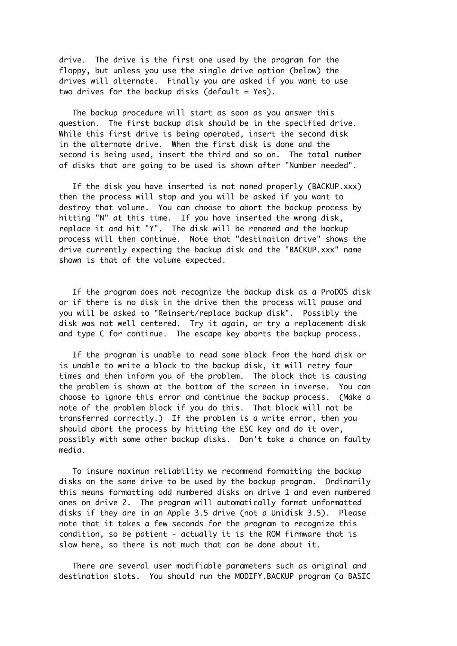drive. The drive is the first one used by the program for the floppy, but unless you use the single drive option (below) the drives will alternate. Finally you are asked if you want to use two drives for the backup disks (default =  $Yes$ ).

 The backup procedure will start as soon as you answer this question. The first backup disk should be in the specified drive. While this first drive is being operated, insert the second disk in the alternate drive. When the first disk is done and the second is being used, insert the third and so on. The total number of disks that are going to be used is shown after "Number needed".

 If the disk you have inserted is not named properly (BACKUP.xxx) then the process will stop and you will be asked if you want to destroy that volume. You can choose to abort the backup process by hitting "N" at this time. If you have inserted the wrong disk, replace it and hit "Y". The disk will be renamed and the backup process will then continue. Note that "destination drive" shows the drive currently expecting the backup disk and the "BACKUP.xxx" name shown is that of the volume expected.

 If the program does not recognize the backup disk as a ProDOS disk or if there is no disk in the drive then the process will pause and you will be asked to "Reinsert/replace backup disk". Possibly the disk was not well centered. Try it again, or try a replacement disk and type C for continue. The escape key aborts the backup process.

 If the program is unable to read some block from the hard disk or is unable to write a block to the backup disk, it will retry four times and then inform you of the problem. The block that is causing the problem is shown at the bottom of the screen in inverse. You can choose to ignore this error and continue the backup process. (Make a note of the problem block if you do this. That block will not be transferred correctly.) If the problem is a write error, then you should abort the process by hitting the ESC key and do it over, possibly with some other backup disks. Don't take a chance on faulty media.

 To insure maximum reliability we recommend formatting the backup disks on the same drive to be used by the backup program. Ordinarily this means formatting odd numbered disks on drive 1 and even numbered ones on drive 2. The program will automatically format unformatted disks if they are in an Apple 3.5 drive (not a Unidisk 3.5). Please note that it takes a few seconds for the program to recognize this condition, so be patient - actually it is the ROM firmware that is slow here, so there is not much that can be done about it.

 There are several user modifiable parameters such as original and destination slots. You should run the MODIFY.BACKUP program (a BASIC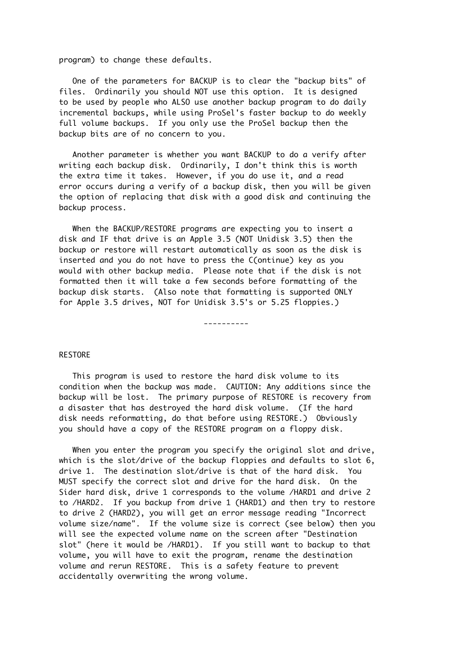program) to change these defaults.

 One of the parameters for BACKUP is to clear the "backup bits" of files. Ordinarily you should NOT use this option. It is designed to be used by people who ALSO use another backup program to do daily incremental backups, while using ProSel's faster backup to do weekly full volume backups. If you only use the ProSel backup then the backup bits are of no concern to you.

 Another parameter is whether you want BACKUP to do a verify after writing each backup disk. Ordinarily, I don't think this is worth the extra time it takes. However, if you do use it, and a read error occurs during a verify of a backup disk, then you will be given the option of replacing that disk with a good disk and continuing the backup process.

 When the BACKUP/RESTORE programs are expecting you to insert a disk and IF that drive is an Apple 3.5 (NOT Unidisk 3.5) then the backup or restore will restart automatically as soon as the disk is inserted and you do not have to press the C(ontinue) key as you would with other backup media. Please note that if the disk is not formatted then it will take a few seconds before formatting of the backup disk starts. (Also note that formatting is supported ONLY for Apple 3.5 drives, NOT for Unidisk 3.5's or 5.25 floppies.)

----------

#### RESTORE

 This program is used to restore the hard disk volume to its condition when the backup was made. CAUTION: Any additions since the backup will be lost. The primary purpose of RESTORE is recovery from a disaster that has destroyed the hard disk volume. (If the hard disk needs reformatting, do that before using RESTORE.) Obviously you should have a copy of the RESTORE program on a floppy disk.

 When you enter the program you specify the original slot and drive, which is the slot/drive of the backup floppies and defaults to slot 6, drive 1. The destination slot/drive is that of the hard disk. You MUST specify the correct slot and drive for the hard disk. On the Sider hard disk, drive 1 corresponds to the volume /HARD1 and drive 2 to /HARD2. If you backup from drive 1 (HARD1) and then try to restore to drive 2 (HARD2), you will get an error message reading "Incorrect volume size/name". If the volume size is correct (see below) then you will see the expected volume name on the screen after "Destination slot" (here it would be /HARD1). If you still want to backup to that volume, you will have to exit the program, rename the destination volume and rerun RESTORE. This is a safety feature to prevent accidentally overwriting the wrong volume.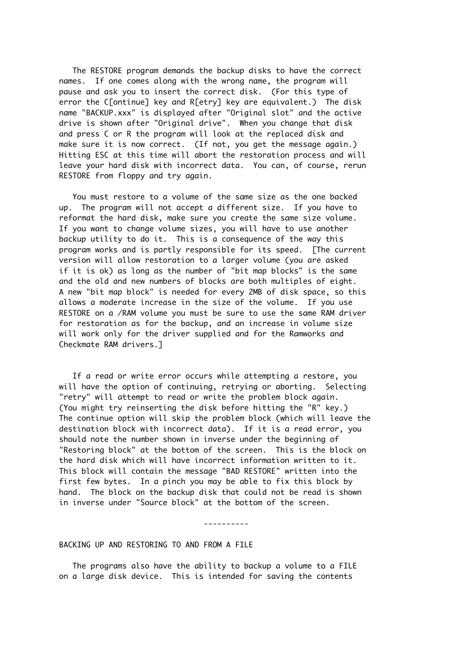The RESTORE program demands the backup disks to have the correct names. If one comes along with the wrong name, the program will pause and ask you to insert the correct disk. (For this type of error the C[ontinue] key and R[etry] key are equivalent.) The disk name "BACKUP.xxx" is displayed after "Original slot" and the active drive is shown after "Original drive". When you change that disk and press C or R the program will look at the replaced disk and make sure it is now correct. (If not, you get the message again.) Hitting ESC at this time will abort the restoration process and will leave your hard disk with incorrect data. You can, of course, rerun RESTORE from floppy and try again.

 You must restore to a volume of the same size as the one backed up. The program will not accept a different size. If you have to reformat the hard disk, make sure you create the same size volume. If you want to change volume sizes, you will have to use another backup utility to do it. This is a consequence of the way this program works and is partly responsible for its speed. [The current version will allow restoration to a larger volume (you are asked if it is ok) as long as the number of "bit map blocks" is the same and the old and new numbers of blocks are both multiples of eight. A new "bit map block" is needed for every 2MB of disk space, so this allows a moderate increase in the size of the volume. If you use RESTORE on a /RAM volume you must be sure to use the same RAM driver for restoration as for the backup, and an increase in volume size will work only for the driver supplied and for the Ramworks and Checkmate RAM drivers.]

 If a read or write error occurs while attempting a restore, you will have the option of continuing, retrying or aborting. Selecting "retry" will attempt to read or write the problem block again. (You might try reinserting the disk before hitting the "R" key.) The continue option will skip the problem block (which will leave the destination block with incorrect data). If it is a read error, you should note the number shown in inverse under the beginning of "Restoring block" at the bottom of the screen. This is the block on the hard disk which will have incorrect information written to it. This block will contain the message "BAD RESTORE" written into the first few bytes. In a pinch you may be able to fix this block by hand. The block on the backup disk that could not be read is shown in inverse under "Source block" at the bottom of the screen.

----------

#### BACKING UP AND RESTORING TO AND FROM A FILE

 The programs also have the ability to backup a volume to a FILE on a large disk device. This is intended for saving the contents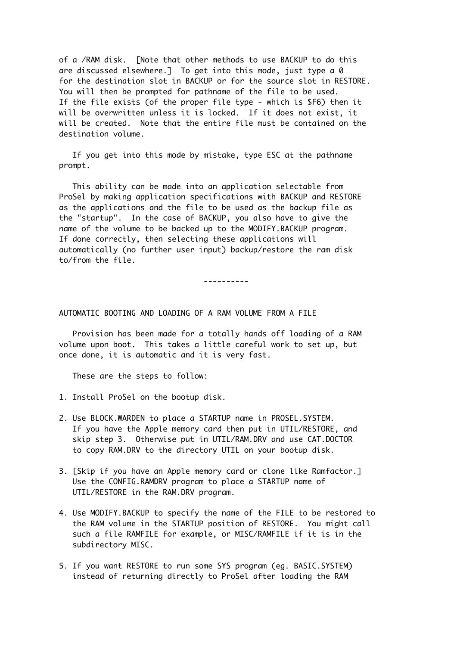of a /RAM disk. [Note that other methods to use BACKUP to do this are discussed elsewhere.] To get into this mode, just type a 0 for the destination slot in BACKUP or for the source slot in RESTORE. You will then be prompted for pathname of the file to be used. If the file exists (of the proper file type - which is \$F6) then it will be overwritten unless it is locked. If it does not exist, it will be created. Note that the entire file must be contained on the destination volume.

 If you get into this mode by mistake, type ESC at the pathname prompt.

 This ability can be made into an application selectable from ProSel by making application specifications with BACKUP and RESTORE as the applications and the file to be used as the backup file as the "startup". In the case of BACKUP, you also have to give the name of the volume to be backed up to the MODIFY.BACKUP program. If done correctly, then selecting these applications will automatically (no further user input) backup/restore the ram disk to/from the file.

----------

## AUTOMATIC BOOTING AND LOADING OF A RAM VOLUME FROM A FILE

 Provision has been made for a totally hands off loading of a RAM volume upon boot. This takes a little careful work to set up, but once done, it is automatic and it is very fast.

These are the steps to follow:

- 1. Install ProSel on the bootup disk.
- 2. Use BLOCK.WARDEN to place a STARTUP name in PROSEL.SYSTEM. If you have the Apple memory card then put in UTIL/RESTORE, and skip step 3. Otherwise put in UTIL/RAM.DRV and use CAT.DOCTOR to copy RAM.DRV to the directory UTIL on your bootup disk.
- 3. [Skip if you have an Apple memory card or clone like Ramfactor.] Use the CONFIG.RAMDRV program to place a STARTUP name of UTIL/RESTORE in the RAM.DRV program.
- 4. Use MODIFY.BACKUP to specify the name of the FILE to be restored to the RAM volume in the STARTUP position of RESTORE. You might call such a file RAMFILE for example, or MISC/RAMFILE if it is in the subdirectory MISC.
- 5. If you want RESTORE to run some SYS program (eg. BASIC.SYSTEM) instead of returning directly to ProSel after loading the RAM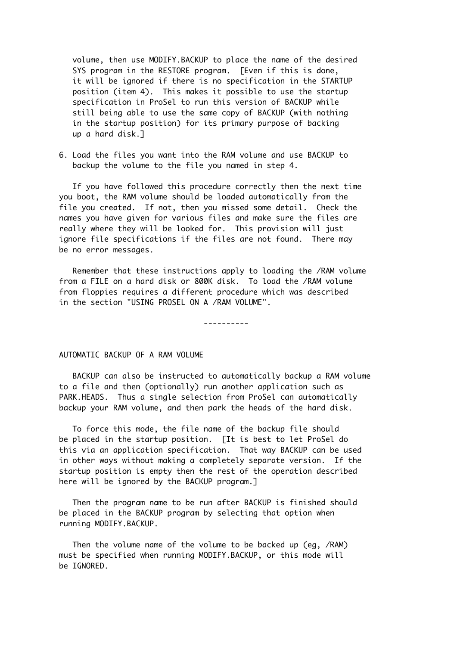volume, then use MODIFY.BACKUP to place the name of the desired SYS program in the RESTORE program. [Even if this is done, it will be ignored if there is no specification in the STARTUP position (item 4). This makes it possible to use the startup specification in ProSel to run this version of BACKUP while still being able to use the same copy of BACKUP (with nothing in the startup position) for its primary purpose of backing up a hard disk.]

6. Load the files you want into the RAM volume and use BACKUP to backup the volume to the file you named in step 4.

 If you have followed this procedure correctly then the next time you boot, the RAM volume should be loaded automatically from the file you created. If not, then you missed some detail. Check the names you have given for various files and make sure the files are really where they will be looked for. This provision will just ignore file specifications if the files are not found. There may be no error messages.

 Remember that these instructions apply to loading the /RAM volume from a FILE on a hard disk or 800K disk. To load the /RAM volume from floppies requires a different procedure which was described in the section "USING PROSEL ON A /RAM VOLUME".

----------

### AUTOMATIC BACKUP OF A RAM VOLUME

 BACKUP can also be instructed to automatically backup a RAM volume to a file and then (optionally) run another application such as PARK.HEADS. Thus a single selection from ProSel can automatically backup your RAM volume, and then park the heads of the hard disk.

 To force this mode, the file name of the backup file should be placed in the startup position. [It is best to let ProSel do this via an application specification. That way BACKUP can be used in other ways without making a completely separate version. If the startup position is empty then the rest of the operation described here will be ignored by the BACKUP program.]

 Then the program name to be run after BACKUP is finished should be placed in the BACKUP program by selecting that option when running MODIFY.BACKUP.

 Then the volume name of the volume to be backed up (eg, /RAM) must be specified when running MODIFY.BACKUP, or this mode will be IGNORED.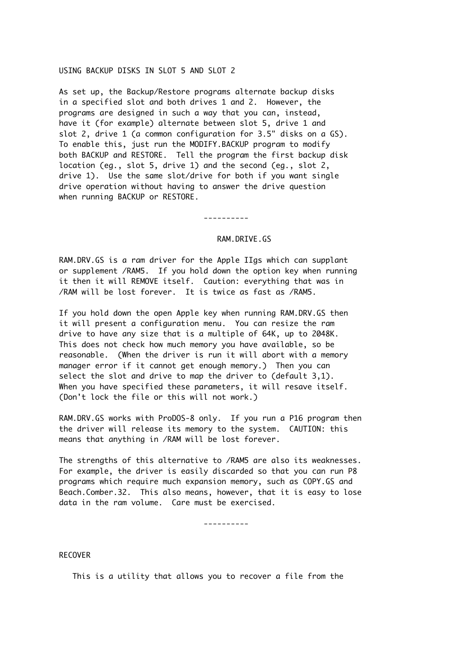### USING BACKUP DISKS IN SLOT 5 AND SLOT 2

As set up, the Backup/Restore programs alternate backup disks in a specified slot and both drives 1 and 2. However, the programs are designed in such a way that you can, instead, have it (for example) alternate between slot 5, drive 1 and slot 2, drive 1 (a common configuration for 3.5" disks on a GS). To enable this, just run the MODIFY.BACKUP program to modify both BACKUP and RESTORE. Tell the program the first backup disk location (eg., slot 5, drive 1) and the second (eg., slot 2, drive 1). Use the same slot/drive for both if you want single drive operation without having to answer the drive question when running BACKUP or RESTORE.

----------

# RAM.DRIVE.GS

RAM.DRV.GS is a ram driver for the Apple IIgs which can supplant or supplement /RAM5. If you hold down the option key when running it then it will REMOVE itself. Caution: everything that was in /RAM will be lost forever. It is twice as fast as /RAM5.

If you hold down the open Apple key when running RAM.DRV.GS then it will present a configuration menu. You can resize the ram drive to have any size that is a multiple of 64K, up to 2048K. This does not check how much memory you have available, so be reasonable. (When the driver is run it will abort with a memory manager error if it cannot get enough memory.) Then you can select the slot and drive to map the driver to (default 3,1). When you have specified these parameters, it will resave itself. (Don't lock the file or this will not work.)

RAM.DRV.GS works with ProDOS-8 only. If you run a P16 program then the driver will release its memory to the system. CAUTION: this means that anything in /RAM will be lost forever.

The strengths of this alternative to /RAM5 are also its weaknesses. For example, the driver is easily discarded so that you can run P8 programs which require much expansion memory, such as COPY.GS and Beach.Comber.32. This also means, however, that it is easy to lose data in the ram volume. Care must be exercised.

----------

RECOVER

This is a utility that allows you to recover a file from the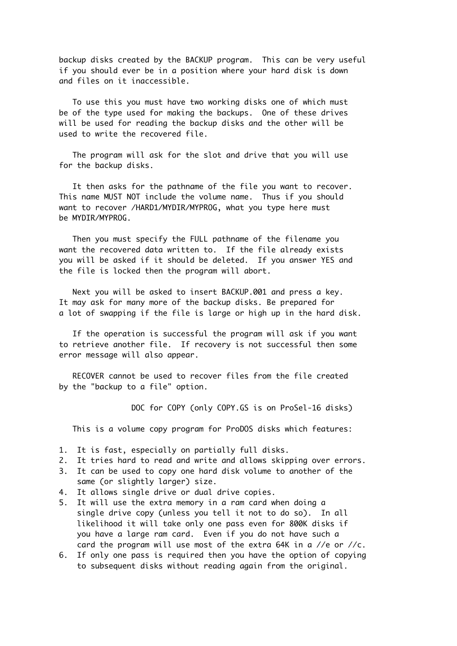backup disks created by the BACKUP program. This can be very useful if you should ever be in a position where your hard disk is down and files on it inaccessible.

 To use this you must have two working disks one of which must be of the type used for making the backups. One of these drives will be used for reading the backup disks and the other will be used to write the recovered file.

 The program will ask for the slot and drive that you will use for the backup disks.

 It then asks for the pathname of the file you want to recover. This name MUST NOT include the volume name. Thus if you should want to recover /HARD1/MYDIR/MYPROG, what you type here must be MYDIR/MYPROG.

 Then you must specify the FULL pathname of the filename you want the recovered data written to. If the file already exists you will be asked if it should be deleted. If you answer YES and the file is locked then the program will abort.

 Next you will be asked to insert BACKUP.001 and press a key. It may ask for many more of the backup disks. Be prepared for a lot of swapping if the file is large or high up in the hard disk.

 If the operation is successful the program will ask if you want to retrieve another file. If recovery is not successful then some error message will also appear.

 RECOVER cannot be used to recover files from the file created by the "backup to a file" option.

DOC for COPY (only COPY.GS is on ProSel-16 disks)

This is a volume copy program for ProDOS disks which features:

- 1. It is fast, especially on partially full disks.
- 2. It tries hard to read and write and allows skipping over errors.
- 3. It can be used to copy one hard disk volume to another of the same (or slightly larger) size.
- 4. It allows single drive or dual drive copies.
- 5. It will use the extra memory in a ram card when doing a single drive copy (unless you tell it not to do so). In all likelihood it will take only one pass even for 800K disks if you have a large ram card. Even if you do not have such a card the program will use most of the extra 64K in a //e or //c.
- 6. If only one pass is required then you have the option of copying to subsequent disks without reading again from the original.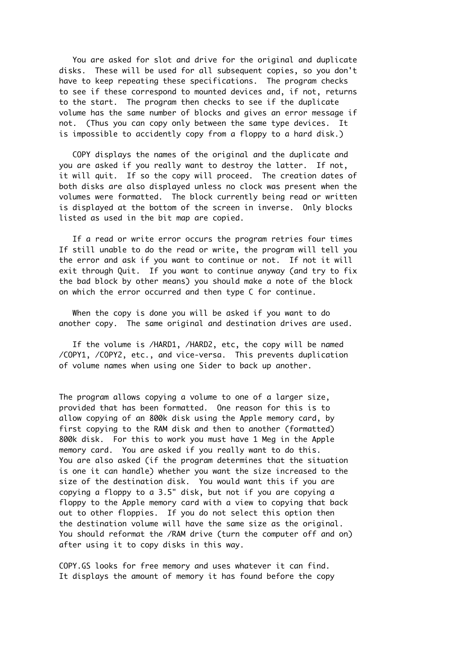You are asked for slot and drive for the original and duplicate disks. These will be used for all subsequent copies, so you don't have to keep repeating these specifications. The program checks to see if these correspond to mounted devices and, if not, returns to the start. The program then checks to see if the duplicate volume has the same number of blocks and gives an error message if not. (Thus you can copy only between the same type devices. It is impossible to accidently copy from a floppy to a hard disk.)

 COPY displays the names of the original and the duplicate and you are asked if you really want to destroy the latter. If not, it will quit. If so the copy will proceed. The creation dates of both disks are also displayed unless no clock was present when the volumes were formatted. The block currently being read or written is displayed at the bottom of the screen in inverse. Only blocks listed as used in the bit map are copied.

 If a read or write error occurs the program retries four times If still unable to do the read or write, the program will tell you the error and ask if you want to continue or not. If not it will exit through Quit. If you want to continue anyway (and try to fix the bad block by other means) you should make a note of the block on which the error occurred and then type C for continue.

 When the copy is done you will be asked if you want to do another copy. The same original and destination drives are used.

 If the volume is /HARD1, /HARD2, etc, the copy will be named /COPY1, /COPY2, etc., and vice-versa. This prevents duplication of volume names when using one Sider to back up another.

The program allows copying a volume to one of a larger size, provided that has been formatted. One reason for this is to allow copying of an 800k disk using the Apple memory card, by first copying to the RAM disk and then to another (formatted) 800k disk. For this to work you must have 1 Meg in the Apple memory card. You are asked if you really want to do this. You are also asked (if the program determines that the situation is one it can handle) whether you want the size increased to the size of the destination disk. You would want this if you are copying a floppy to a 3.5" disk, but not if you are copying a floppy to the Apple memory card with a view to copying that back out to other floppies. If you do not select this option then the destination volume will have the same size as the original. You should reformat the /RAM drive (turn the computer off and on) after using it to copy disks in this way.

COPY.GS looks for free memory and uses whatever it can find. It displays the amount of memory it has found before the copy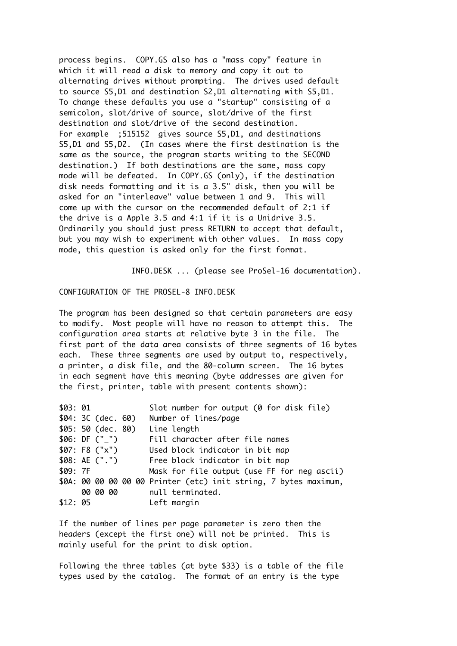process begins. COPY.GS also has a "mass copy" feature in which it will read a disk to memory and copy it out to alternating drives without prompting. The drives used default to source S5,D1 and destination S2,D1 alternating with S5,D1. To change these defaults you use a "startup" consisting of a semicolon, slot/drive of source, slot/drive of the first destination and slot/drive of the second destination. For example ;515152 gives source S5,D1, and destinations S5,D1 and S5,D2. (In cases where the first destination is the same as the source, the program starts writing to the SECOND destination.) If both destinations are the same, mass copy mode will be defeated. In COPY.GS (only), if the destination disk needs formatting and it is a 3.5" disk, then you will be asked for an "interleave" value between 1 and 9. This will come up with the cursor on the recommended default of 2:1 if the drive is a Apple 3.5 and 4:1 if it is a Unidrive 3.5. Ordinarily you should just press RETURN to accept that default, but you may wish to experiment with other values. In mass copy mode, this question is asked only for the first format.

INFO.DESK ... (please see ProSel-16 documentation).

CONFIGURATION OF THE PROSEL-8 INFO.DESK

The program has been designed so that certain parameters are easy to modify. Most people will have no reason to attempt this. The configuration area starts at relative byte 3 in the file. The first part of the data area consists of three segments of 16 bytes each. These three segments are used by output to, respectively, a printer, a disk file, and the 80-column screen. The 16 bytes in each segment have this meaning (byte addresses are given for the first, printer, table with present contents shown):

| \$03:01 |                       | Slot number for output (0 for disk file)                         |
|---------|-----------------------|------------------------------------------------------------------|
|         | $$04:3C$ (dec. $60$ ) | Number of lines/page                                             |
|         | $$05:50$ (dec. $80)$  | Line length                                                      |
|         | \$06: DF $("$ "')     | Fill character after file names                                  |
|         | \$07: F8 ("x")        | Used block indicator in bit map                                  |
|         |                       | \$08: AE (".") Free block indicator in bit map                   |
| \$09:7F |                       | Mask for file output (use FF for neg ascii)                      |
|         |                       | \$0A: 00 00 00 00 00 Printer (etc) init string, 7 bytes maximum, |
|         | 00 00 00              | null terminated.                                                 |
| \$12:05 |                       | Left margin                                                      |

If the number of lines per page parameter is zero then the headers (except the first one) will not be printed. This is mainly useful for the print to disk option.

Following the three tables (at byte \$33) is a table of the file types used by the catalog. The format of an entry is the type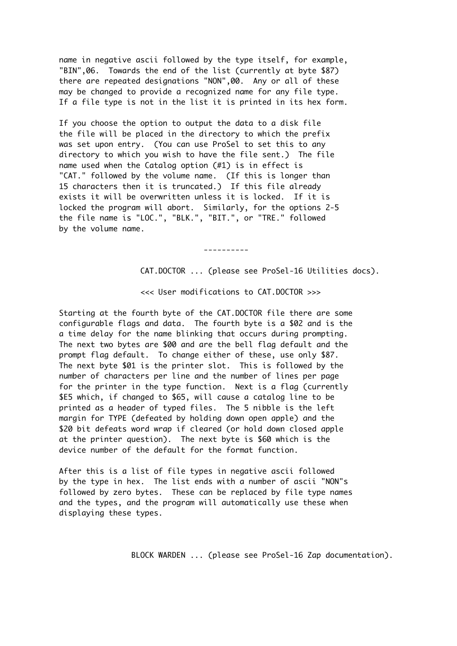name in negative ascii followed by the type itself, for example, "BIN",06. Towards the end of the list (currently at byte \$87) there are repeated designations "NON",00. Any or all of these may be changed to provide a recognized name for any file type. If a file type is not in the list it is printed in its hex form.

If you choose the option to output the data to a disk file the file will be placed in the directory to which the prefix was set upon entry. (You can use ProSel to set this to any directory to which you wish to have the file sent.) The file name used when the Catalog option (#1) is in effect is "CAT." followed by the volume name. (If this is longer than 15 characters then it is truncated.) If this file already exists it will be overwritten unless it is locked. If it is locked the program will abort. Similarly, for the options 2-5 the file name is "LOC.", "BLK.", "BIT.", or "TRE." followed by the volume name.

----------

CAT.DOCTOR ... (please see ProSel-16 Utilities docs).

<<< User modifications to CAT.DOCTOR >>>

Starting at the fourth byte of the CAT.DOCTOR file there are some configurable flags and data. The fourth byte is a \$02 and is the a time delay for the name blinking that occurs during prompting. The next two bytes are \$00 and are the bell flag default and the prompt flag default. To change either of these, use only \$87. The next byte \$01 is the printer slot. This is followed by the number of characters per line and the number of lines per page for the printer in the type function. Next is a flag (currently \$E5 which, if changed to \$65, will cause a catalog line to be printed as a header of typed files. The 5 nibble is the left margin for TYPE (defeated by holding down open apple) and the \$20 bit defeats word wrap if cleared (or hold down closed apple at the printer question). The next byte is \$60 which is the device number of the default for the format function.

After this is a list of file types in negative ascii followed by the type in hex. The list ends with a number of ascii "NON"s followed by zero bytes. These can be replaced by file type names and the types, and the program will automatically use these when displaying these types.

BLOCK WARDEN ... (please see ProSel-16 Zap documentation).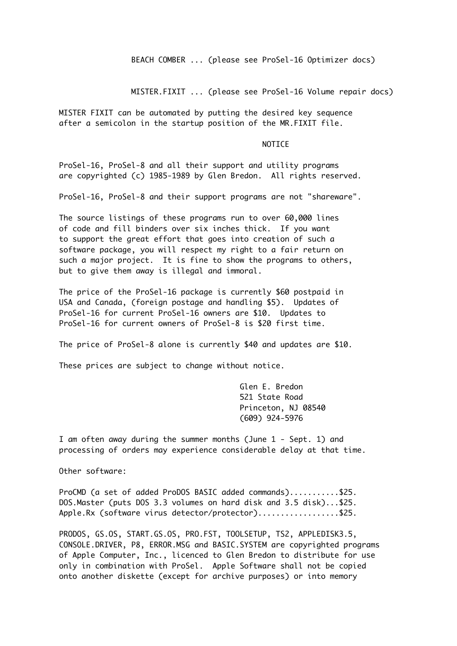BEACH COMBER ... (please see ProSel-16 Optimizer docs)

MISTER.FIXIT ... (please see ProSel-16 Volume repair docs)

MISTER FIXIT can be automated by putting the desired key sequence after a semicolon in the startup position of the MR.FIXIT file.

### NOTICE

ProSel-16, ProSel-8 and all their support and utility programs are copyrighted (c) 1985-1989 by Glen Bredon. All rights reserved.

ProSel-16, ProSel-8 and their support programs are not "shareware".

The source listings of these programs run to over 60,000 lines of code and fill binders over six inches thick. If you want to support the great effort that goes into creation of such a software package, you will respect my right to a fair return on such a major project. It is fine to show the programs to others, but to give them away is illegal and immoral.

The price of the ProSel-16 package is currently \$60 postpaid in USA and Canada, (foreign postage and handling \$5). Updates of ProSel-16 for current ProSel-16 owners are \$10. Updates to ProSel-16 for current owners of ProSel-8 is \$20 first time.

The price of ProSel-8 alone is currently \$40 and updates are \$10.

These prices are subject to change without notice.

Glen E. Bredon 521 State Road Princeton, NJ 08540 (609) 924-5976

I am often away during the summer months (June 1 - Sept. 1) and processing of orders may experience considerable delay at that time.

Other software:

ProCMD (a set of added ProDOS BASIC added commands)...........\$25. DOS.Master (puts DOS 3.3 volumes on hard disk and 3.5 disk)...\$25. Apple.Rx (software virus detector/protector)..................\$25.

PRODOS, GS.OS, START.GS.OS, PRO.FST, TOOLSETUP, TS2, APPLEDISK3.5, CONSOLE.DRIVER, P8, ERROR.MSG and BASIC.SYSTEM are copyrighted programs of Apple Computer, Inc., licenced to Glen Bredon to distribute for use only in combination with ProSel. Apple Software shall not be copied onto another diskette (except for archive purposes) or into memory